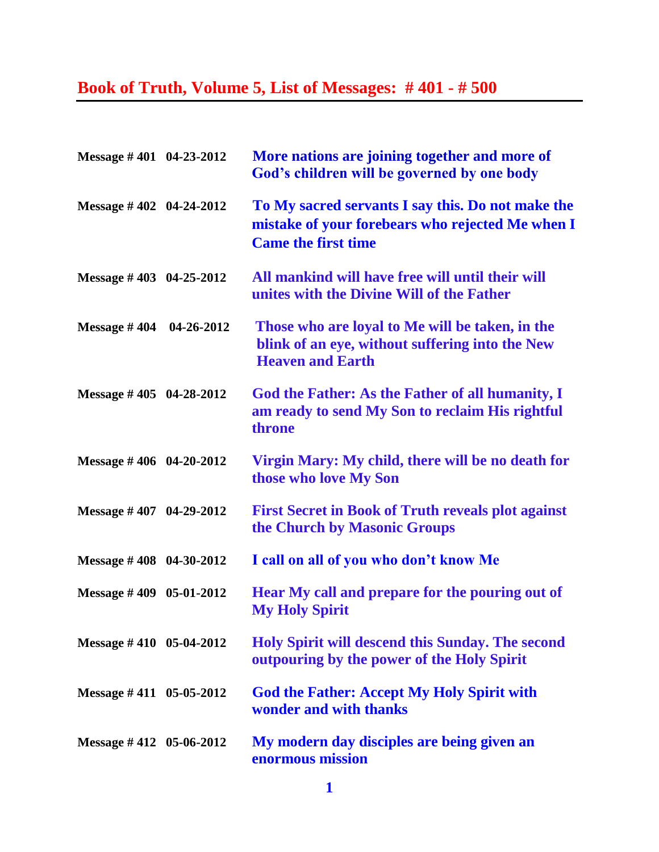## **Book of Truth, Volume 5, List of Messages: # 401 - # 500**

| Message #401 04-23-2012     | More nations are joining together and more of<br>God's children will be governed by one body                                        |
|-----------------------------|-------------------------------------------------------------------------------------------------------------------------------------|
| Message #402 04-24-2012     | To My sacred servants I say this. Do not make the<br>mistake of your forebears who rejected Me when I<br><b>Came the first time</b> |
| Message $\#$ 403 04-25-2012 | All mankind will have free will until their will<br>unites with the Divine Will of the Father                                       |
| Message $\#$ 404 04-26-2012 | Those who are loyal to Me will be taken, in the<br>blink of an eye, without suffering into the New<br><b>Heaven and Earth</b>       |
| Message $\#$ 405 04-28-2012 | God the Father: As the Father of all humanity, I<br>am ready to send My Son to reclaim His rightful<br>throne                       |
| Message #406 04-20-2012     | Virgin Mary: My child, there will be no death for<br>those who love My Son                                                          |
| Message $\#$ 407 04-29-2012 | <b>First Secret in Book of Truth reveals plot against</b><br>the Church by Masonic Groups                                           |
| Message $\#$ 408 04-30-2012 | I call on all of you who don't know Me                                                                                              |
| Message $\#$ 409 05-01-2012 | Hear My call and prepare for the pouring out of<br><b>My Holy Spirit</b>                                                            |
| Message #410 05-04-2012     | Holy Spirit will descend this Sunday. The second<br>outpouring by the power of the Holy Spirit                                      |
| Message #411 05-05-2012     | <b>God the Father: Accept My Holy Spirit with</b><br>wonder and with thanks                                                         |
| Message $\#$ 412 05-06-2012 | My modern day disciples are being given an<br>enormous mission                                                                      |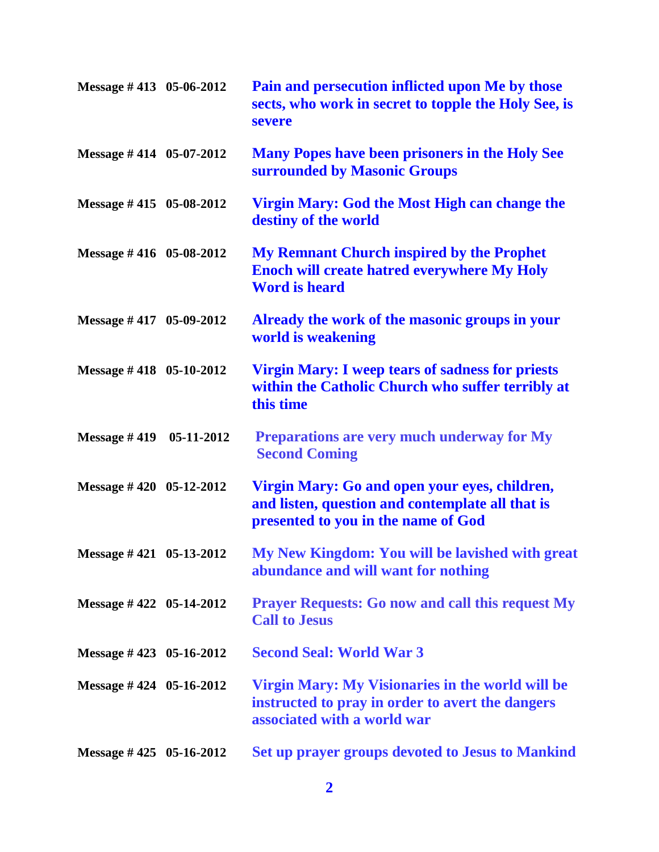| Message #413 05-06-2012     | Pain and persecution inflicted upon Me by those<br>sects, who work in secret to topple the Holy See, is<br>severe                        |
|-----------------------------|------------------------------------------------------------------------------------------------------------------------------------------|
| Message $\#$ 414 05-07-2012 | <b>Many Popes have been prisoners in the Holy See</b><br>surrounded by Masonic Groups                                                    |
| Message #415 05-08-2012     | Virgin Mary: God the Most High can change the<br>destiny of the world                                                                    |
| Message #416 05-08-2012     | <b>My Remnant Church inspired by the Prophet</b><br><b>Enoch will create hatred everywhere My Holy</b><br><b>Word is heard</b>           |
| Message #417 05-09-2012     | Already the work of the masonic groups in your<br>world is weakening                                                                     |
| Message $\#$ 418 05-10-2012 | <b>Virgin Mary: I weep tears of sadness for priests</b><br>within the Catholic Church who suffer terribly at<br>this time                |
| Message #419 05-11-2012     | Preparations are very much underway for My<br><b>Second Coming</b>                                                                       |
| Message $\#$ 420 05-12-2012 | Virgin Mary: Go and open your eyes, children,<br>and listen, question and contemplate all that is<br>presented to you in the name of God |
| Message #421 05-13-2012     | My New Kingdom: You will be lavished with great<br>abundance and will want for nothing                                                   |
| Message #422 05-14-2012     | <b>Prayer Requests: Go now and call this request My</b><br><b>Call to Jesus</b>                                                          |
| Message $\#$ 423 05-16-2012 | <b>Second Seal: World War 3</b>                                                                                                          |
| Message $\#$ 424 05-16-2012 | Virgin Mary: My Visionaries in the world will be<br>instructed to pray in order to avert the dangers<br>associated with a world war      |
| Message $\#$ 425 05-16-2012 | Set up prayer groups devoted to Jesus to Mankind                                                                                         |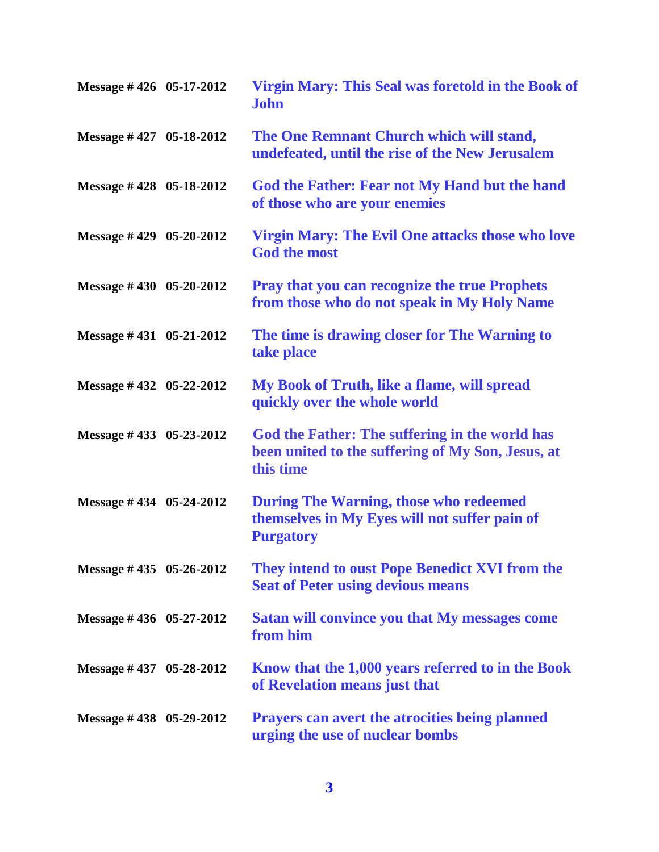| Message #426 05-17-2012     | Virgin Mary: This Seal was foretold in the Book of<br><b>John</b>                                                  |
|-----------------------------|--------------------------------------------------------------------------------------------------------------------|
| Message $\#$ 427 05-18-2012 | The One Remnant Church which will stand,<br>undefeated, until the rise of the New Jerusalem                        |
| Message $\#$ 428 05-18-2012 | God the Father: Fear not My Hand but the hand<br>of those who are your enemies                                     |
| Message $\#$ 429 05-20-2012 | <b>Virgin Mary: The Evil One attacks those who love</b><br><b>God the most</b>                                     |
| Message $\#$ 430 05-20-2012 | <b>Pray that you can recognize the true Prophets</b><br>from those who do not speak in My Holy Name                |
| Message $\#$ 431 05-21-2012 | The time is drawing closer for The Warning to<br>take place                                                        |
| Message #432 05-22-2012     | My Book of Truth, like a flame, will spread<br>quickly over the whole world                                        |
| Message #433 05-23-2012     | God the Father: The suffering in the world has<br>been united to the suffering of My Son, Jesus, at<br>this time   |
| Message $\#$ 434 05-24-2012 | <b>During The Warning, those who redeemed</b><br>themselves in My Eyes will not suffer pain of<br><b>Purgatory</b> |
| Message #435 05-26-2012     | They intend to oust Pope Benedict XVI from the<br><b>Seat of Peter using devious means</b>                         |
| Message $\#$ 436 05-27-2012 | <b>Satan will convince you that My messages come</b><br>from him                                                   |
| Message #437 05-28-2012     | Know that the 1,000 years referred to in the Book<br>of Revelation means just that                                 |
| Message #438 05-29-2012     | <b>Prayers can avert the atrocities being planned</b><br>urging the use of nuclear bombs                           |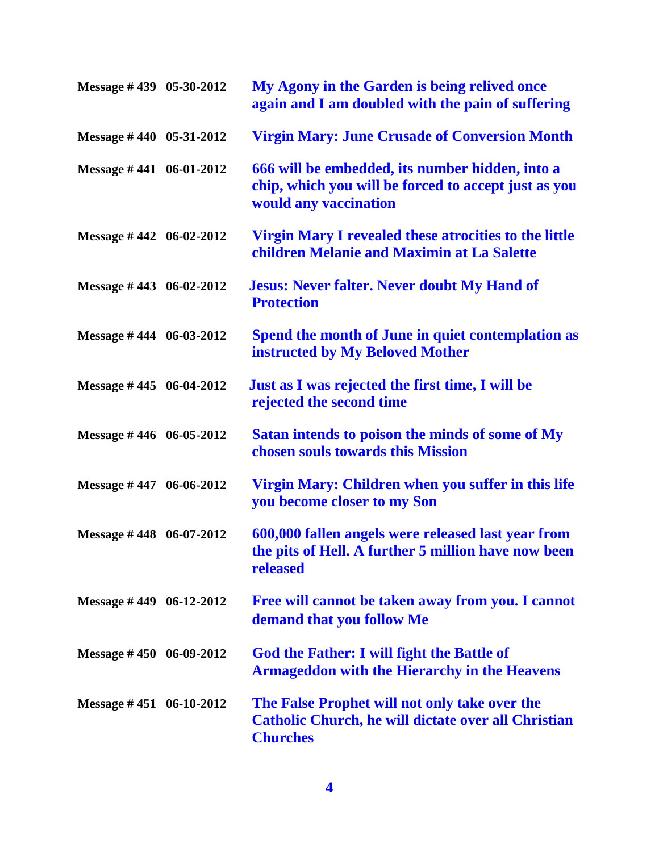| Message #439 05-30-2012     | My Agony in the Garden is being relived once<br>again and I am doubled with the pain of suffering                                |
|-----------------------------|----------------------------------------------------------------------------------------------------------------------------------|
| Message #440 05-31-2012     | <b>Virgin Mary: June Crusade of Conversion Month</b>                                                                             |
| Message #441 06-01-2012     | 666 will be embedded, its number hidden, into a<br>chip, which you will be forced to accept just as you<br>would any vaccination |
| Message $\#$ 442 06-02-2012 | <b>Virgin Mary I revealed these atrocities to the little</b><br>children Melanie and Maximin at La Salette                       |
| Message #443 06-02-2012     | <b>Jesus: Never falter. Never doubt My Hand of</b><br><b>Protection</b>                                                          |
| Message #444 06-03-2012     | Spend the month of June in quiet contemplation as<br>instructed by My Beloved Mother                                             |
| Message #445 06-04-2012     | Just as I was rejected the first time, I will be<br>rejected the second time                                                     |
| Message #446 06-05-2012     | Satan intends to poison the minds of some of My<br>chosen souls towards this Mission                                             |
| Message #447 06-06-2012     | Virgin Mary: Children when you suffer in this life<br>you become closer to my Son                                                |
| Message #448 06-07-2012     | 600,000 fallen angels were released last year from<br>the pits of Hell. A further 5 million have now been<br>released            |
| Message $\#$ 449 06-12-2012 | Free will cannot be taken away from you. I cannot<br>demand that you follow Me                                                   |
| Message $\#$ 450 06-09-2012 | <b>God the Father: I will fight the Battle of</b><br><b>Armageddon with the Hierarchy in the Heavens</b>                         |
| Message $\#$ 451 06-10-2012 | The False Prophet will not only take over the<br><b>Catholic Church, he will dictate over all Christian</b><br><b>Churches</b>   |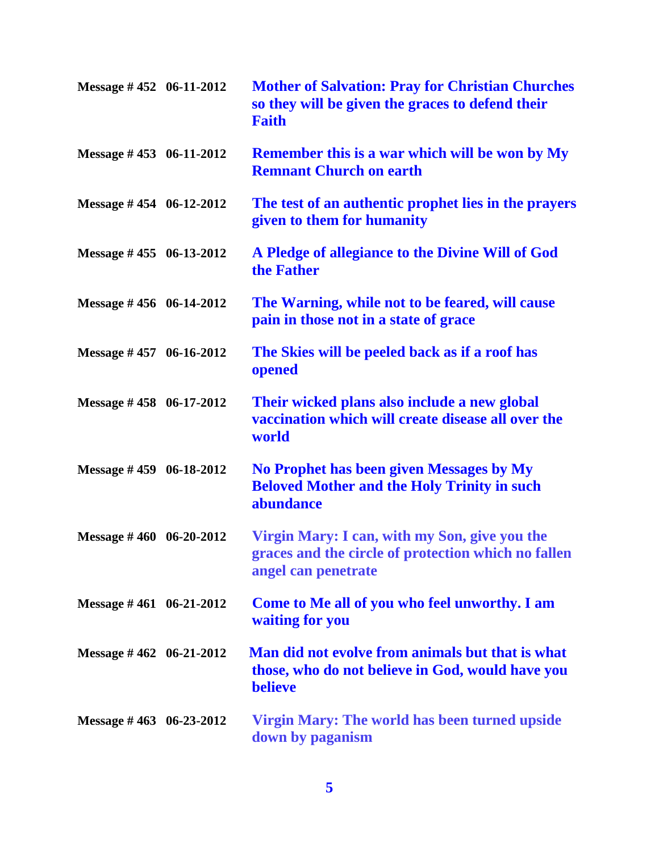| Message #452 06-11-2012     | <b>Mother of Salvation: Pray for Christian Churches</b><br>so they will be given the graces to defend their<br><b>Faith</b> |
|-----------------------------|-----------------------------------------------------------------------------------------------------------------------------|
| Message #453 06-11-2012     | <b>Remember this is a war which will be won by My</b><br><b>Remnant Church on earth</b>                                     |
| Message #454 06-12-2012     | The test of an authentic prophet lies in the prayers<br>given to them for humanity                                          |
| Message #455 06-13-2012     | A Pledge of allegiance to the Divine Will of God<br>the Father                                                              |
| Message $\#$ 456 06-14-2012 | The Warning, while not to be feared, will cause<br>pain in those not in a state of grace                                    |
| Message #457 06-16-2012     | The Skies will be peeled back as if a roof has<br>opened                                                                    |
| Message #458 06-17-2012     | Their wicked plans also include a new global<br>vaccination which will create disease all over the<br>world                 |
| Message #459 06-18-2012     | No Prophet has been given Messages by My<br><b>Beloved Mother and the Holy Trinity in such</b><br>abundance                 |
| Message #460 06-20-2012     | Virgin Mary: I can, with my Son, give you the<br>graces and the circle of protection which no fallen<br>angel can penetrate |
| Message #461 06-21-2012     | Come to Me all of you who feel unworthy. I am<br>waiting for you                                                            |
| Message $\#$ 462 06-21-2012 | Man did not evolve from animals but that is what<br>those, who do not believe in God, would have you<br><b>believe</b>      |
| Message #463 06-23-2012     | Virgin Mary: The world has been turned upside<br>down by paganism                                                           |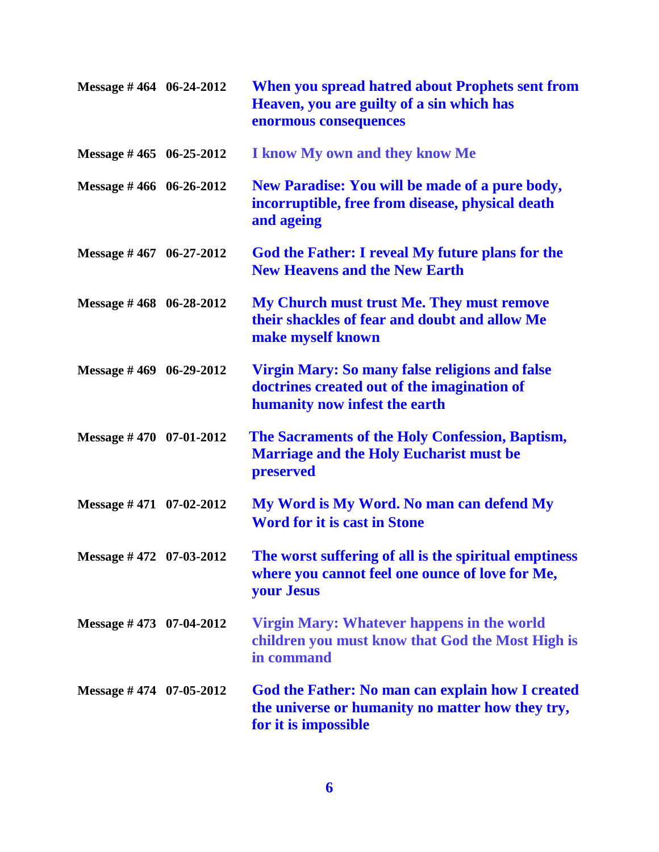| Message #464 06-24-2012     | When you spread hatred about Prophets sent from<br>Heaven, you are guilty of a sin which has<br>enormous consequences                 |
|-----------------------------|---------------------------------------------------------------------------------------------------------------------------------------|
| Message #465 06-25-2012     | I know My own and they know Me                                                                                                        |
| Message #466 06-26-2012     | New Paradise: You will be made of a pure body,<br>incorruptible, free from disease, physical death<br>and ageing                      |
| Message $\#$ 467 06-27-2012 | God the Father: I reveal My future plans for the<br><b>New Heavens and the New Earth</b>                                              |
| Message #468 06-28-2012     | My Church must trust Me. They must remove<br>their shackles of fear and doubt and allow Me<br>make myself known                       |
| Message $\#$ 469 06-29-2012 | <b>Virgin Mary: So many false religions and false</b><br>doctrines created out of the imagination of<br>humanity now infest the earth |
| Message #470 07-01-2012     | The Sacraments of the Holy Confession, Baptism,<br><b>Marriage and the Holy Eucharist must be</b><br>preserved                        |
| Message #471 07-02-2012     | My Word is My Word. No man can defend My<br><b>Word for it is cast in Stone</b>                                                       |
| Message #472 07-03-2012     | The worst suffering of all is the spiritual emptiness<br>where you cannot feel one ounce of love for Me,<br><b>your Jesus</b>         |
| Message $\#$ 473 07-04-2012 | Virgin Mary: Whatever happens in the world<br>children you must know that God the Most High is<br>in command                          |
| Message $\#$ 474 07-05-2012 | <b>God the Father: No man can explain how I created</b><br>the universe or humanity no matter how they try,<br>for it is impossible   |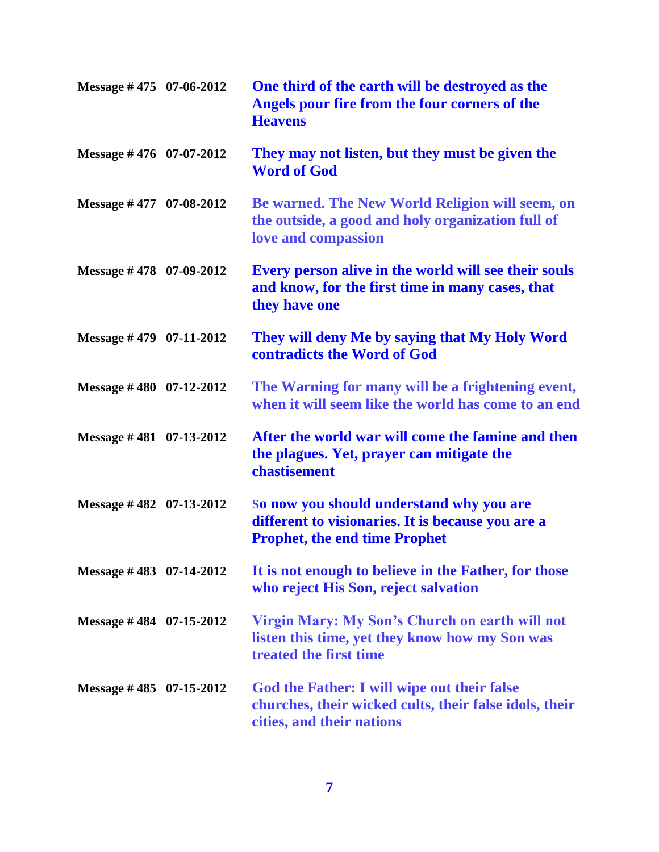| Message $\#$ 475 07-06-2012 | One third of the earth will be destroyed as the<br>Angels pour fire from the four corners of the<br><b>Heavens</b>                    |
|-----------------------------|---------------------------------------------------------------------------------------------------------------------------------------|
| Message #476 07-07-2012     | They may not listen, but they must be given the<br><b>Word of God</b>                                                                 |
| Message #477 07-08-2012     | Be warned. The New World Religion will seem, on<br>the outside, a good and holy organization full of<br>love and compassion           |
| Message #478 07-09-2012     | Every person alive in the world will see their souls<br>and know, for the first time in many cases, that<br>they have one             |
| Message #479 07-11-2012     | They will deny Me by saying that My Holy Word<br>contradicts the Word of God                                                          |
| Message $\#$ 480 07-12-2012 | The Warning for many will be a frightening event,<br>when it will seem like the world has come to an end                              |
| Message $\#$ 481 07-13-2012 | After the world war will come the famine and then<br>the plagues. Yet, prayer can mitigate the<br>chastisement                        |
| Message #482 07-13-2012     | So now you should understand why you are<br>different to visionaries. It is because you are a<br><b>Prophet, the end time Prophet</b> |
| Message #483 07-14-2012     | It is not enough to believe in the Father, for those<br>who reject His Son, reject salvation                                          |
| Message #484 07-15-2012     | <b>Virgin Mary: My Son's Church on earth will not</b><br>listen this time, yet they know how my Son was<br>treated the first time     |
| Message #485 $07-15-2012$   | God the Father: I will wipe out their false<br>churches, their wicked cults, their false idols, their<br>cities, and their nations    |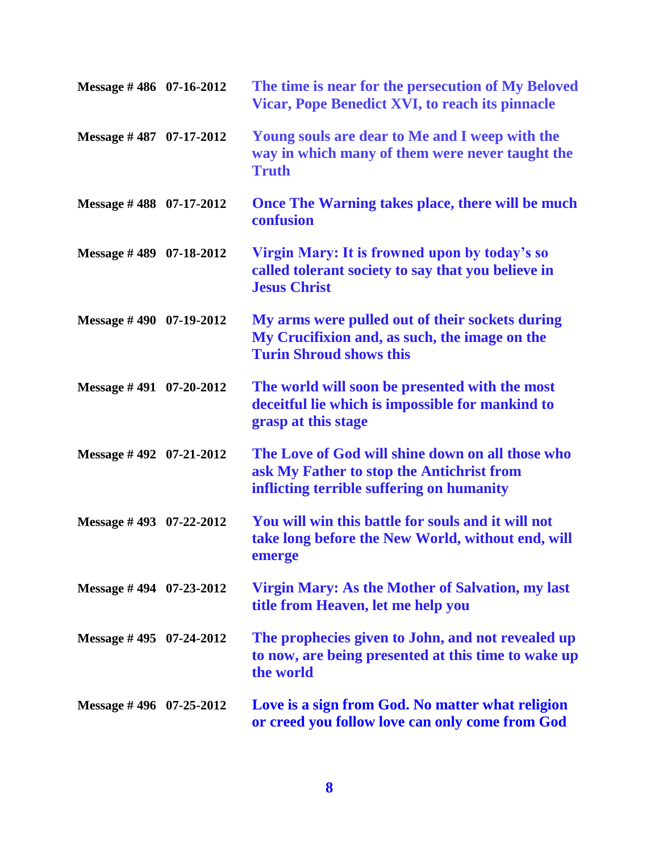| Message #486 07-16-2012     | The time is near for the persecution of My Beloved<br><b>Vicar, Pope Benedict XVI, to reach its pinnacle</b>                               |
|-----------------------------|--------------------------------------------------------------------------------------------------------------------------------------------|
| Message $\#$ 487 07-17-2012 | Young souls are dear to Me and I weep with the<br>way in which many of them were never taught the<br><b>Truth</b>                          |
| Message #488 07-17-2012     | Once The Warning takes place, there will be much<br>confusion                                                                              |
| Message #489 07-18-2012     | Virgin Mary: It is frowned upon by today's so<br>called tolerant society to say that you believe in<br><b>Jesus Christ</b>                 |
| Message $\#$ 490 07-19-2012 | My arms were pulled out of their sockets during<br>My Crucifixion and, as such, the image on the<br><b>Turin Shroud shows this</b>         |
| Message $\#$ 491 07-20-2012 | The world will soon be presented with the most<br>deceitful lie which is impossible for mankind to<br>grasp at this stage                  |
| Message $\#$ 492 07-21-2012 | The Love of God will shine down on all those who<br>ask My Father to stop the Antichrist from<br>inflicting terrible suffering on humanity |
| Message #493 07-22-2012     | You will win this battle for souls and it will not<br>take long before the New World, without end, will<br>emerge                          |
| Message #494 07-23-2012     | Virgin Mary: As the Mother of Salvation, my last<br>title from Heaven, let me help you                                                     |
| Message $\#$ 495 07-24-2012 | The prophecies given to John, and not revealed up<br>to now, are being presented at this time to wake up<br>the world                      |
| Message $\#$ 496 07-25-2012 | Love is a sign from God. No matter what religion<br>or creed you follow love can only come from God                                        |